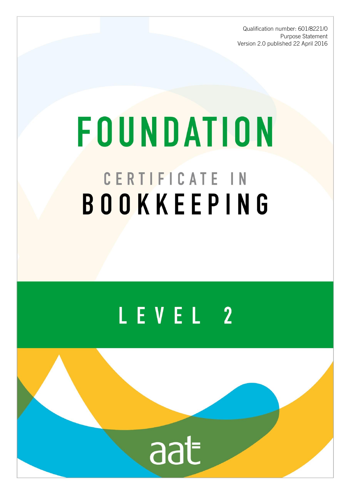Qualification number: 601/8221/0 Purpose Statement Version 2.0 published 22 April 2016

# **FOUNDATION** CERTIFICATE IN BOOKKEEPING

## LEVEL 2

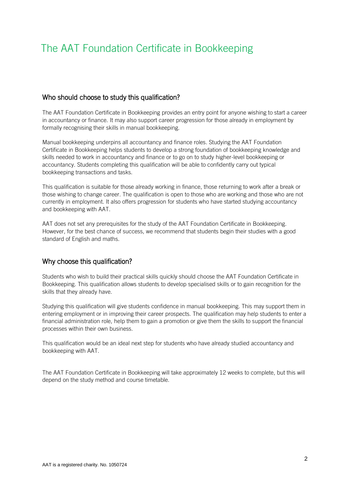### The AAT Foundation Certificate in Bookkeeping

#### Who should choose to study this qualification?

The AAT Foundation Certificate in Bookkeeping provides an entry point for anyone wishing to start a career in accountancy or finance. It may also support career progression for those already in employment by formally recognising their skills in manual bookkeeping.

Manual bookkeeping underpins all accountancy and finance roles. Studying the AAT Foundation Certificate in Bookkeeping helps students to develop a strong foundation of bookkeeping knowledge and skills needed to work in accountancy and finance or to go on to study higher-level bookkeeping or accountancy. Students completing this qualification will be able to confidently carry out typical bookkeeping transactions and tasks.

This qualification is suitable for those already working in finance, those returning to work after a break or those wishing to change career. The qualification is open to those who are working and those who are not currently in employment. It also offers progression for students who have started studying accountancy and bookkeeping with AAT.

AAT does not set any prerequisites for the study of the AAT Foundation Certificate in Bookkeeping. However, for the best chance of success, we recommend that students begin their studies with a good standard of English and maths.

#### Why choose this qualification?

Students who wish to build their practical skills quickly should choose the AAT Foundation Certificate in Bookkeeping. This qualification allows students to develop specialised skills or to gain recognition for the skills that they already have.

Studying this qualification will give students confidence in manual bookkeeping. This may support them in entering employment or in improving their career prospects. The qualification may help students to enter a financial administration role, help them to gain a promotion or give them the skills to support the financial processes within their own business.

This qualification would be an ideal next step for students who have already studied accountancy and bookkeeping with AAT.

The AAT Foundation Certificate in Bookkeeping will take approximately 12 weeks to complete, but this will depend on the study method and course timetable.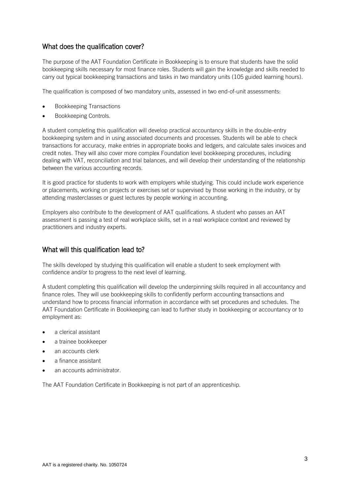#### What does the qualification cover?

The purpose of the AAT Foundation Certificate in Bookkeeping is to ensure that students have the solid bookkeeping skills necessary for most finance roles. Students will gain the knowledge and skills needed to carry out typical bookkeeping transactions and tasks in two mandatory units (105 guided learning hours).

The qualification is composed of two mandatory units, assessed in two end-of-unit assessments:

- Bookkeeping Transactions
- Bookkeeping Controls.

A student completing this qualification will develop practical accountancy skills in the double-entry bookkeeping system and in using associated documents and processes. Students will be able to check transactions for accuracy, make entries in appropriate books and ledgers, and calculate sales invoices and credit notes. They will also cover more complex Foundation level bookkeeping procedures, including dealing with VAT, reconciliation and trial balances, and will develop their understanding of the relationship between the various accounting records.

It is good practice for students to work with employers while studying. This could include work experience or placements, working on projects or exercises set or supervised by those working in the industry, or by attending masterclasses or guest lectures by people working in accounting.

Employers also contribute to the development of AAT qualifications. A student who passes an AAT assessment is passing a test of real workplace skills, set in a real workplace context and reviewed by practitioners and industry experts.

#### What will this qualification lead to?

The skills developed by studying this qualification will enable a student to seek employment with confidence and/or to progress to the next level of learning.

A student completing this qualification will develop the underpinning skills required in all accountancy and finance roles. They will use bookkeeping skills to confidently perform accounting transactions and understand how to process financial information in accordance with set procedures and schedules. The AAT Foundation Certificate in Bookkeeping can lead to further study in bookkeeping or accountancy or to employment as:

- a clerical assistant
- a trainee bookkeeper
- an accounts clerk
- a finance assistant
- an accounts administrator.

The AAT Foundation Certificate in Bookkeeping is not part of an apprenticeship.